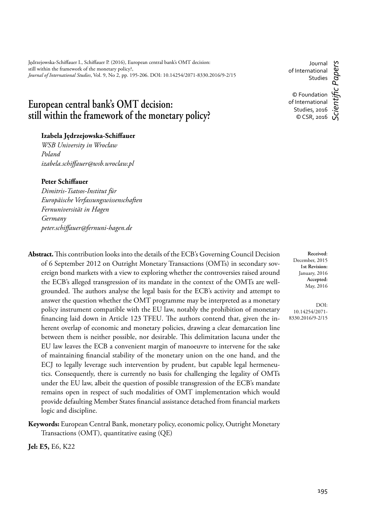Jędrzejowska-Schiffauer I., Schiffauer P. (2016), European central bank's OMT decision: still within the framework of the monetary policy?, *Journal of International Studies*, Vol. 9, No 2, pp. 195-206. DOI: 10.14254/2071-8330.2016/9-2/15

# **European central bank's OMT decision: still within the framework of the monetary policy?**

# Izabela Jędrzejowska-Schiffauer

*WSB University in Wrocław Poland izabela.schiff auer@wsb.wroclaw.pl*

#### **Peter Schiffauer**

*Dimitris-Tsatsos-Institut für Europäische Verfassungswissenschaften Fernuniversität in Hagen Germany peter.schiff auer@fernuni-hagen.de*

Abstract. This contribution looks into the details of the ECB's Governing Council Decision of 6 September 2012 on Outright Monetary Transactions (OMTs) in secondary sovereign bond markets with a view to exploring whether the controversies raised around the ECB's alleged transgression of its mandate in the context of the OMTs are wellgrounded. The authors analyse the legal basis for the ECB's activity and attempt to answer the question whether the OMT programme may be interpreted as a monetary policy instrument compatible with the EU law, notably the prohibition of monetary financing laid down in Article 123 TFEU. The authors contend that, given the inherent overlap of economic and monetary policies, drawing a clear demarcation line between them is neither possible, nor desirable. This delimitation lacuna under the EU law leaves the ECB a convenient margin of manoeuvre to intervene for the sake of maintaining financial stability of the monetary union on the one hand, and the ECJ to legally leverage such intervention by prudent, but capable legal hermeneutics. Consequently, there is currently no basis for challenging the legality of OMTs under the EU law, albeit the question of possible transgression of the ECB's mandate remains open in respect of such modalities of OMT implementation which would provide defaulting Member States financial assistance detached from financial markets logic and discipline.

**Keywords:** European Central Bank, monetary policy, economic policy, Outright Monetary Transactions (OMT), quantitative easing (QE)

**Jel: E5,** E6, K22

Journal of International Studies

c Papers

© Foundation of International Studies, 2016 © CSR, 2016 *Scientifi c Papers*

**Received**: December, 2015 **1st Revision:** January, 2016 **Accepted:** May, 2016

DOI: 10.14254/2071- 8330.2016/9-2/15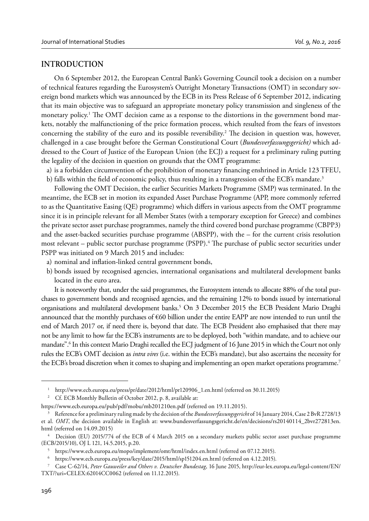# **INTRODUCTION**

On 6 September 2012, the European Central Bank's Governing Council took a decision on a number of technical features regarding the Eurosystem's Outright Monetary Transactions (OMT) in secondary sovereign bond markets which was announced by the ECB in its Press Release of 6 September 2012, indicating that its main objective was to safeguard an appropriate monetary policy transmission and singleness of the monetary policy.<sup>1</sup> The OMT decision came as a response to the distortions in the government bond markets, notably the malfunctioning of the price formation process, which resulted from the fears of investors concerning the stability of the euro and its possible reversibility.<sup>2</sup> The decision in question was, however, challenged in a case brought before the German Constitutional Court (*Bundesverfassungsgericht)* which addressed to the Court of Justice of the European Union (the ECJ) a request for a preliminary ruling putting the legality of the decision in question on grounds that the OMT programme:

a) is a forbidden circumvention of the prohibition of monetary financing enshrined in Article 123 TFEU, b) falls within the field of economic policy, thus resulting in a transgression of the ECB's mandate.<sup>3</sup>

Following the OMT Decision, the earlier Securities Markets Programme (SMP) was terminated. In the meantime, the ECB set in motion its expanded Asset Purchase Programme (APP, more commonly referred to as the Quantitative Easing (QE) programme) which differs in various aspects from the OMT programme since it is in principle relevant for all Member States (with a temporary exception for Greece) and combines the private sector asset purchase programmes, namely the third covered bond purchase programme (CBPP3) and the asset-backed securities purchase programme (ABSPP), with the  $-$  for the current crisis resolution most relevant – public sector purchase programme (PSPP).<sup>4</sup> The purchase of public sector securities under PSPP was initiated on 9 March 2015 and includes:

- a) nominal and inflation-linked central government bonds,
- b) bonds issued by recognised agencies, international organisations and multilateral development banks located in the euro area.

It is noteworthy that, under the said programmes, the Eurosystem intends to allocate 88% of the total purchases to government bonds and recognised agencies, and the remaining 12% to bonds issued by international organisations and multilateral development banks.<sup>5</sup> On 3 December 2015 the ECB President Mario Draghi announced that the monthly purchases of €60 billion under the entire EAPP are now intended to run until the end of March 2017 or, if need there is, beyond that date. The ECB President also emphasised that there may not be any limit to how far the ECB's instruments are to be deployed, both "within mandate, and to achieve our mandate".6 In this context Mario Draghi recalled the ECJ judgment of 16 June 2015 in which the Court not only rules the ECB's OMT decision as *intra vires* (i.e. within the ECB's mandate), but also ascertains the necessity for the ECB's broad discretion when it comes to shaping and implementing an open market operations programme.<sup>7</sup>

<sup>&</sup>lt;sup>1</sup> http://www.ecb.europa.eu/press/pr/date/2012/html/pr120906\_1.en.html (referred on 30.11.2015)

<sup>&</sup>lt;sup>2</sup> Cf. ECB Monthly Bulletin of October 2012, p. 8, available at:

https://www.ecb.europa.eu/pub/pdf/mobu/mb201210en.pdf (referred on 19.11.2015).

<sup>3</sup> Reference for a preliminary ruling made by the decision of the *Bundesverfassungsgericht* of 14 January 2014, Case 2 BvR 2728/13 et al. *OMT*, the decision available in English at: www.bundesverfassungsgericht.de/en/decisions/rs20140114\_2bvr272813en. html (referred on 14.09.2015)

<sup>4</sup> Decision (EU) 2015/774 of the ECB of 4 March 2015 on a secondary markets public sector asset purchase programme (ECB/2015/10), OJ L 121, 14.5.2015, p.20.

<sup>5</sup> https://www.ecb.europa.eu/mopo/implement/omt/html/index.en.html (referred on 07.12.2015).

<sup>6</sup> https://www.ecb.europa.eu/press/key/date/2015/html/sp151204.en.html (referred on 4.12.2015).

<sup>7</sup> Case C-62/14, *Peter Gauweiler and Others v. Deutscher Bundestag*, 16 June 2015, http://eur-lex.europa.eu/legal-content/EN/ TXT/?uri=CELEX:62014CC0062 (referred on 11.12.2015).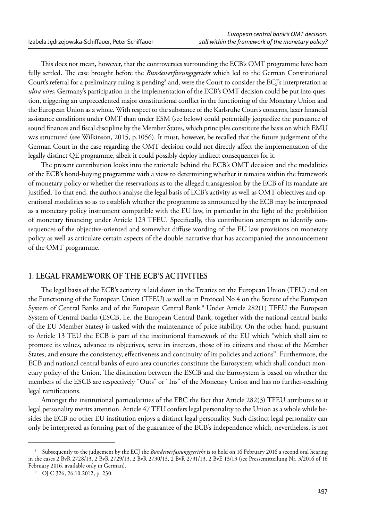This does not mean, however, that the controversies surrounding the ECB's OMT programme have been fully settled. The case brought before the *Bundesverfassungsgericht* which led to the German Constitutional Court's referral for a preliminary ruling is pending<sup>8</sup> and, were the Court to consider the ECJ's interpretation as *ultra vires*, Germany's participation in the implementation of the ECB's OMT decision could be put into question, triggering an unprecedented major constitutional conflict in the functioning of the Monetary Union and the European Union as a whole. With respect to the substance of the Karlsruhe Court's concerns, laxer financial assistance conditions under OMT than under ESM (see below) could potentially jeopardize the pursuance of sound finances and fiscal discipline by the Member States, which principles constitute the basis on which EMU was structured (see Wilkinson, 2015, p.1056). It must, however, be recalled that the future judgement of the German Court in the case regarding the OMT decision could not directly affect the implementation of the legally distinct QE programme, albeit it could possibly deploy indirect consequences for it.

The present contribution looks into the rationale behind the ECB's OMT decision and the modalities of the ECB's bond-buying programme with a view to determining whether it remains within the framework of monetary policy or whether the reservations as to the alleged transgression by the ECB of its mandate are justified. To that end, the authors analyse the legal basis of ECB's activity as well as OMT objectives and operational modalities so as to establish whether the programme as announced by the ECB may be interpreted as a monetary policy instrument compatible with the EU law, in particular in the light of the prohibition of monetary financing under Article 123 TFEU. Specifically, this contribution attempts to identify consequences of the objective-oriented and somewhat diffuse wording of the EU law provisions on monetary policy as well as articulate certain aspects of the double narrative that has accompanied the announcement of the OMT programme.

# **1. LEGAL FRAMEWORK OF THE ECB'S ACTIVITIES**

The legal basis of the ECB's activity is laid down in the Treaties on the European Union (TEU) and on the Functioning of the European Union (TFEU) as well as in Protocol No 4 on the Statute of the European System of Central Banks and of the European Central Bank.<sup>9</sup> Under Article 282(1) TFEU the European System of Central Banks (ESCB, i.e. the European Central Bank, together with the national central banks of the EU Member States) is tasked with the maintenance of price stability. On the other hand, pursuant to Article 13 TEU the ECB is part of the institutional framework of the EU which "which shall aim to promote its values, advance its objectives, serve its interests, those of its citizens and those of the Member States, and ensure the consistency, effectiveness and continuity of its policies and actions". Furthermore, the ECB and national central banks of euro area countries constitute the Eurosystem which shall conduct monetary policy of the Union. The distinction between the ESCB and the Eurosystem is based on whether the members of the ESCB are respectively "Outs" or "Ins" of the Monetary Union and has no further-reaching legal ramifications.

Amongst the institutional particularities of the EBC the fact that Article 282(3) TFEU attributes to it legal personality merits attention. Article 47 TEU confers legal personality to the Union as a whole while besides the ECB no other EU institution enjoys a distinct legal personality. Such distinct legal personality can only be interpreted as forming part of the guarantee of the ECB's independence which, nevertheless, is not

<sup>8</sup> Subsequently to the judgement by the ECJ the *Bundesverfassungsgericht* is to hold on 16 February 2016 a second oral hearing in the cases 2 BvR 2728/13, 2 BvR 2729/13, 2 BvR 2730/13, 2 BvR 2731/13, 2 BvE 13/13 (see Pressemitteilung Nr. 3/2016 of 16 February 2016, available only in German).

<sup>9</sup> OJ C 326, 26.10.2012, p. 230.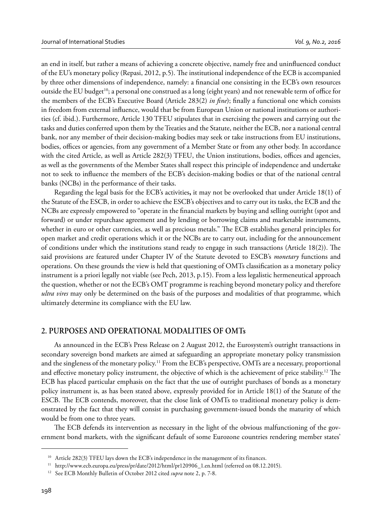an end in itself, but rather a means of achieving a concrete objective, namely free and uninfluenced conduct of the EU's monetary policy (Repasi, 2012, p.5). The institutional independence of the ECB is accompanied by three other dimensions of independence, namely: a financial one consisting in the ECB's own resources outside the EU budget<sup>10</sup>; a personal one construed as a long (eight years) and not renewable term of office for the members of the ECB's Executive Board (Article 283(2) *in fine*); finally a functional one which consists in freedom from external influence, would that be from European Union or national institutions or authorities (cf. ibid.). Furthermore, Article 130 TFEU stipulates that in exercising the powers and carrying out the tasks and duties conferred upon them by the Treaties and the Statute, neither the ECB, nor a national central bank, nor any member of their decision-making bodies may seek or take instructions from EU institutions, bodies, offices or agencies, from any government of a Member State or from any other body. In accordance with the cited Article, as well as Article 282(3) TFEU, the Union institutions, bodies, offices and agencies, as well as the governments of the Member States shall respect this principle of independence and undertake not to seek to influence the members of the ECB's decision-making bodies or that of the national central banks (NCBs) in the performance of their tasks.

Regarding the legal basis for the ECB's activities**,** it may not be overlooked that under Article 18(1) of the Statute of the ESCB, in order to achieve the ESCB's objectives and to carry out its tasks, the ECB and the NCBs are expressly empowered to "operate in the financial markets by buying and selling outright (spot and forward) or under repurchase agreement and by lending or borrowing claims and marketable instruments, whether in euro or other currencies, as well as precious metals." The ECB establishes general principles for open market and credit operations which it or the NCBs are to carry out, including for the announcement of conditions under which the institutions stand ready to engage in such transactions (Article 18(2)). The said provisions are featured under Chapter IV of the Statute devoted to ESCB's *monetary* functions and operations. On these grounds the view is held that questioning of OMTs classification as a monetary policy instrument is a priori legally not viable (see Pech, 2013, p.15). From a less legalistic hermeneutical approach the question, whether or not the ECB's OMT programme is reaching beyond monetary policy and therefore *ultra vires* may only be determined on the basis of the purposes and modalities of that programme, which ultimately determine its compliance with the EU law.

# **2. PURPOSES AND OPERATIONAL MODALITIES OF OMTs**

As announced in the ECB's Press Release on 2 August 2012, the Eurosystem's outright transactions in secondary sovereign bond markets are aimed at safeguarding an appropriate monetary policy transmission and the singleness of the monetary policy.<sup>11</sup> From the ECB's perspective, OMTs are a necessary, proportional and effective monetary policy instrument, the objective of which is the achievement of price stability.<sup>12</sup> The ECB has placed particular emphasis on the fact that the use of outright purchases of bonds as a monetary policy instrument is, as has been stated above, expressly provided for in Article 18(1) of the Statute of the ESCB. The ECB contends, moreover, that the close link of OMTs to traditional monetary policy is demonstrated by the fact that they will consist in purchasing government-issued bonds the maturity of which would be from one to three years.

The ECB defends its intervention as necessary in the light of the obvious malfunctioning of the government bond markets, with the significant default of some Eurozone countries rendering member states'

<sup>&</sup>lt;sup>10</sup> Article 282(3) TFEU lays down the ECB's independence in the management of its finances.<br><sup>11</sup> http://www.ecb.europa.eu/press/pr/date/2012/html/pr120906\_1.en.html (referred on 08.12.2015).

<sup>12</sup> See ECB Monthly Bulletin of October 2012 cited *supra* note 2, p. 7-8.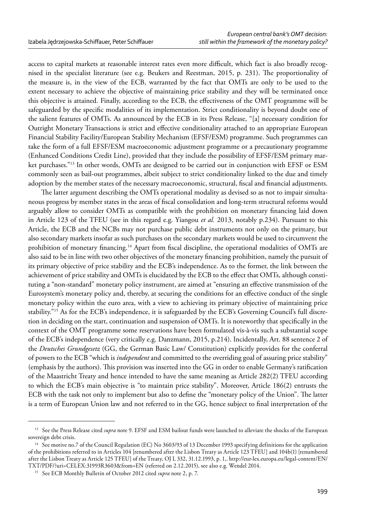access to capital markets at reasonable interest rates even more difficult, which fact is also broadly recognised in the specialist literature (see e.g. Beukers and Reestman, 2015, p. 231). The proportionality of the measure is, in the view of the ECB, warranted by the fact that OMTs are only to be used to the extent necessary to achieve the objective of maintaining price stability and they will be terminated once this objective is attained. Finally, according to the ECB, the effectiveness of the OMT programme will be safeguarded by the specific modalities of its implementation. Strict conditionality is beyond doubt one of the salient features of OMTs. As announced by the ECB in its Press Release, "[a] necessary condition for Outright Monetary Transactions is strict and effective conditionality attached to an appropriate European Financial Stability Facility/European Stability Mechanism (EFSF/ESM) programme. Such programmes can take the form of a full EFSF/ESM macroeconomic adjustment programme or a precautionary programme (Enhanced Conditions Credit Line), provided that they include the possibility of EFSF/ESM primary market purchases."13 In other words, OMTs are designed to be carried out in conjunction with EFSF or ESM commonly seen as bail-out programmes, albeit subject to strict conditionality linked to the due and timely adoption by the member states of the necessary macroeconomic, structural, fiscal and financial adjustments.

The latter argument describing the OMTs operational modality as devised so as not to impair simultaneous progress by member states in the areas of fiscal consolidation and long-term structural reforms would arguably allow to consider OMTs as compatible with the prohibition on monetary financing laid down in Article 123 of the TFEU (see in this regard e.g. Yiangou *et al.* 2013, notably p.234). Pursuant to this Article, the ECB and the NCBs may not purchase public debt instruments not only on the primary, but also secondary markets insofar as such purchases on the secondary markets would be used to circumvent the prohibition of monetary financing.<sup>14</sup> Apart from fiscal discipline, the operational modalities of OMTs are also said to be in line with two other objectives of the monetary financing prohibition, namely the pursuit of its primary objective of price stability and the ECB's independence. As to the former, the link between the achievement of price stability and OMTs is elucidated by the ECB to the effect that OMTs, although constituting a "non-standard" monetary policy instrument, are aimed at "ensuring an effective transmission of the Eurosystem's monetary policy and, thereby, at securing the conditions for an effective conduct of the single monetary policy within the euro area, with a view to achieving its primary objective of maintaining price stability."15 As for the ECB's independence, it is safeguarded by the ECB's Governing Council's full discretion in deciding on the start, continuation and suspension of OMTs. It is noteworthy that specifically in the context of the OMT programme some reservations have been formulated vis-à-vis such a substantial scope of the ECB's independence (very critically e.g. Danzmann, 2015, p.214). Incidentally, Art. 88 sentence 2 of the *Deutsches Grundgesetz* (GG, the German Basic Law/ Constitution) explicitly provides for the conferral of powers to the ECB "which is *independent* and committed to the overriding goal of assuring price stability" (emphasis by the authors). This provision was inserted into the GG in order to enable Germany's ratification of the Maastricht Treaty and hence intended to have the same meaning as Article 282(2) TFEU according to which the ECB's main objective is "to maintain price stability". Moreover, Article 186(2) entrusts the ECB with the task not only to implement but also to define the "monetary policy of the Union". The latter is a term of European Union law and not referred to in the GG, hence subject to final interpretation of the

<sup>&</sup>lt;sup>13</sup> See the Press Release cited *supra* note 9. EFSF and ESM bailout funds were launched to alleviate the shocks of the European sovereign debt crisis.

<sup>14</sup> See motive no.7 of the Council Regulation (EC) No 3603/93 of 13 December 1993 specifying definitions for the application of the prohibitions referred to in Articles 104 [renumbered after the Lisbon Treaty as Article 123 TFEU] and 104b(1) [renumbered after the Lisbon Treaty as Article 125 TFEU] of the Treaty, OJ L 332, 31.12.1993, p. 1,. http://eur-lex.europa.eu/legal-content/EN/ TXT/PDF/?uri=CELEX:31993R3603&from=EN (referred on 2.12.2015), see also e.g. Wendel 2014.

<sup>15</sup> See ECB Monthly Bulletin of October 2012 cited *supra* note 2, p. 7.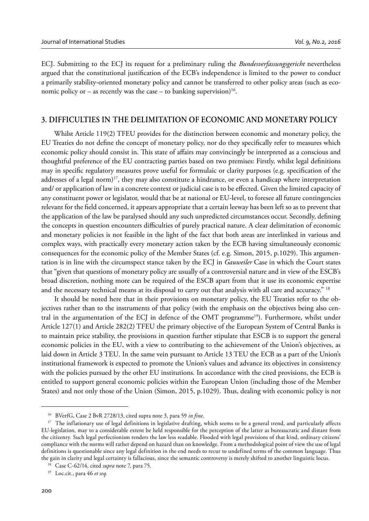ECJ. Submitting to the ECJ its request for a preliminary ruling the *Bundesverfassungsgericht* nevertheless argued that the constitutional justification of the ECB's independence is limited to the power to conduct a primarily stability-oriented monetary policy and cannot be transferred to other policy areas (such as economic policy or – as recently was the case – to banking supervision)<sup>16</sup>.

#### **3. DIFFICULTIES IN THE DELIMITATION OF ECONOMIC AND MONETARY POLICY**

Whilst Article 119(2) TFEU provides for the distinction between economic and monetary policy, the EU Treaties do not define the concept of monetary policy, nor do they specifically refer to measures which economic policy should consist in. This state of affairs may convincingly be interpreted as a conscious and thoughtful preference of the EU contracting parties based on two premises: Firstly, whilst legal definitions may in specific regulatory measures prove useful for formulaic or clarity purposes (e.g. specification of the addresses of a legal norm)<sup>17</sup>, they may also constitute a hindrance, or even a handicap where interpretation and/ or application of law in a concrete context or judicial case is to be effected. Given the limited capacity of any constituent power or legislator, would that be at national or EU-level, to foresee all future contingencies relevant for the field concerned, it appears appropriate that a certain leeway has been left so as to prevent that the application of the law be paralysed should any such unpredicted circumstances occur. Secondly, defining the concepts in question encounters difficulties of purely practical nature. A clear delimitation of economic and monetary policies is not feasible in the light of the fact that both areas are interlinked in various and complex ways, with practically every monetary action taken by the ECB having simultaneously economic consequences for the economic policy of the Member States (cf. e.g. Simon, 2015, p.1029). This argumentation is in line with the circumspect stance taken by the ECJ in *Gauweiler* Case in which the Court states that "given that questions of monetary policy are usually of a controversial nature and in view of the ESCB's broad discretion, nothing more can be required of the ESCB apart from that it use its economic expertise and the necessary technical means at its disposal to carry out that analysis with all care and accuracy." <sup>18</sup>

It should be noted here that in their provisions on monetary policy, the EU Treaties refer to the objectives rather than to the instruments of that policy (with the emphasis on the objectives being also central in the argumentation of the ECJ in defence of the OMT programme<sup>19</sup>). Furthermore, whilst under Article 127(1) and Article 282(2) TFEU the primary objective of the European System of Central Banks is to maintain price stability, the provisions in question further stipulate that ESCB is to support the general economic policies in the EU, with a view to contributing to the achievement of the Union's objectives, as laid down in Article 3 TEU. In the same vein pursuant to Article 13 TEU the ECB as a part of the Union's institutional framework is expected to promote the Union's values and advance its objectives in consistency with the policies pursued by the other EU institutions. In accordance with the cited provisions, the ECB is entitled to support general economic policies within the European Union (including those of the Member States) and not only those of the Union (Simon, 2015, p.1029). Thus, dealing with economic policy is not

<sup>16</sup> BVerfG, Case 2 BvR 2728/13, cited supra note 3, para 59 *in fine*.

<sup>&</sup>lt;sup>17</sup> The inflationary use of legal definitions in legislative drafting, which seems to be a general trend, and particularly affects EU-legislation, may to a considerable extent be held responsible for the perception of the latter as bureaucratic and distant from the citizenry. Such legal perfectionism renders the law less readable. Flooded with legal provisions of that kind, ordinary citizens' compliance with the norms will rather depend on hazard than on knowledge. From a methodological point of view the use of legal definitions is questionable since any legal definition in the end needs to recur to undefined terms of the common language. Thus the gain in clarity and legal certainty is fallacious, since the semantic controversy is merely shifted to another linguistic locus. 18 Case C-62/14, cited *supra* note 7, para 75.

<sup>19</sup> Loc.cit., para 46 *et seq.*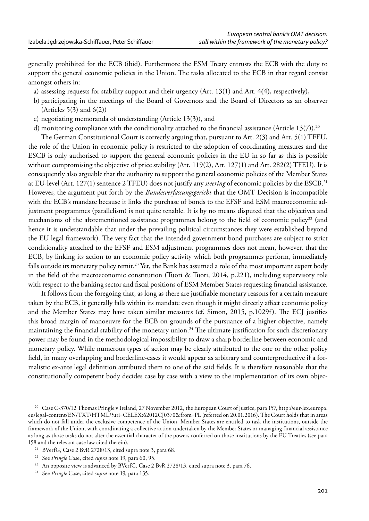generally prohibited for the ECB (ibid). Furthermore the ESM Treaty entrusts the ECB with the duty to support the general economic policies in the Union. The tasks allocated to the ECB in that regard consist amongst others in:

- a) assessing requests for stability support and their urgency (Art. 13(1) and Art. 4(4), respectively),
- b) participating in the meetings of the Board of Governors and the Board of Directors as an observer (Articles  $5(3)$  and  $6(2)$ )
- c) negotiating memoranda of understanding (Article 13(3)), and
- d) monitoring compliance with the conditionality attached to the financial assistance (Article 13(7)).<sup>20</sup>

The German Constitutional Court is correctly arguing that, pursuant to Art. 2(3) and Art. 5(1) TFEU, the role of the Union in economic policy is restricted to the adoption of coordinating measures and the ESCB is only authorised to support the general economic policies in the EU in so far as this is possible without compromising the objective of price stability (Art. 119(2), Art. 127(1) and Art. 282(2) TFEU). It is consequently also arguable that the authority to support the general economic policies of the Member States at EU-level (Art. 127(1) sentence 2 TFEU) does not justify any *steering* of economic policies by the ESCB.21 However, the argument put forth by the *Bundesverfassungsgericht* that the OMT Decision is incompatible with the ECB's mandate because it links the purchase of bonds to the EFSF and ESM macroeconomic adjustment programmes (parallelism) is not quite tenable. It is by no means disputed that the objectives and mechanisms of the aforementioned assistance programmes belong to the field of economic policy<sup>22</sup> (and hence it is understandable that under the prevailing political circumstances they were established beyond the EU legal framework). The very fact that the intended government bond purchases are subject to strict conditionality attached to the EFSF and ESM adjustment programmes does not mean, however, that the ECB, by linking its action to an economic policy activity which both programmes perform, immediately falls outside its monetary policy remit.23 Yet, the Bank has assumed a role of the most important expert body in the field of the macroeconomic constitution (Tuori & Tuori, 2014, p.221), including supervisory role with respect to the banking sector and fiscal positions of ESM Member States requesting financial assistance.

It follows from the foregoing that, as long as there are justifiable monetary reasons for a certain measure taken by the ECB, it generally falls within its mandate even though it might directly affect economic policy and the Member States may have taken similar measures (cf. Simon, 2015, p.1029f). The ECJ justifies this broad margin of manoeuvre for the ECB on grounds of the pursuance of a higher objective, namely maintaining the financial stability of the monetary union.<sup>24</sup> The ultimate justification for such discretionary power may be found in the methodological impossibility to draw a sharp borderline between economic and monetary policy. While numerous types of action may be clearly attributed to the one or the other policy field, in many overlapping and borderline-cases it would appear as arbitrary and counterproductive if a formalistic ex-ante legal definition attributed them to one of the said fields. It is therefore reasonable that the constitutionally competent body decides case by case with a view to the implementation of its own objec-

<sup>20</sup> Case C-370/12 Thomas Pringle v Ireland, 27 November 2012, the European Court of Justice, para 157, http://eur-lex.europa. eu/legal-content/EN/TXT/HTML/?uri=CELEX:62012CJ0370&from=PL (referred on 20.01.2016). The Court holds that in areas which do not fall under the exclusive competence of the Union, Member States are entitled to task the institutions, outside the framework of the Union, with coordinating a collective action undertaken by the Member States or managing financial assistance as long as those tasks do not alter the essential character of the powers conferred on those institutions by the EU Treaties (see para 158 and the relevant case law cited therein).

<sup>21</sup> BVerfG, Case 2 BvR 2728/13, cited supra note 3, para 68.

<sup>22</sup> See *Pringle* Case, cited *supra* note 19, para 60, 95.

<sup>&</sup>lt;sup>23</sup> An opposite view is advanced by BVerfG, Case 2 BvR 2728/13, cited supra note 3, para 76.

<sup>24</sup> See *Pringle* Case, cited *supra* note 19, para 135.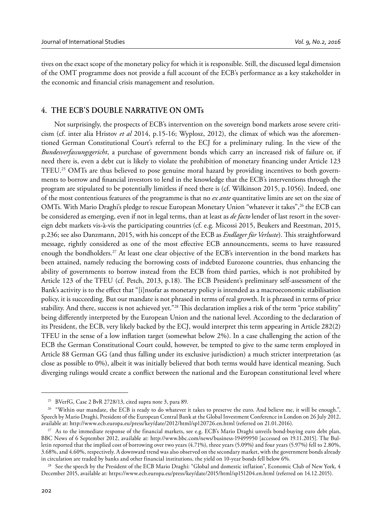tives on the exact scope of the monetary policy for which it is responsible. Still, the discussed legal dimension of the OMT programme does not provide a full account of the ECB's performance as a key stakeholder in the economic and financial crisis management and resolution.

# **4. THE ECB'S DOUBLE NARRATIVE ON OMTs**

Not surprisingly, the prospects of ECB's intervention on the sovereign bond markets arose severe criticism (cf. inter alia Hristov *et al* 2014, p.15-16; Wyplosz, 2012), the climax of which was the aforementioned German Constitutional Court's referral to the ECJ for a preliminary ruling. In the view of the *Bundesverfassungsgericht*, a purchase of government bonds which carry an increased risk of failure or, if need there is, even a debt cut is likely to violate the prohibition of monetary financing under Article 123 TFEU.25 OMTs are thus believed to pose genuine moral hazard by providing incentives to both governments to borrow and financial investors to lend in the knowledge that the ECB's interventions through the program are stipulated to be potentially limitless if need there is (cf. Wilkinson 2015, p.1056). Indeed, one of the most contentious features of the programme is that no *ex ante* quantitative limits are set on the size of OMTs. With Mario Draghi's pledge to rescue European Monetary Union "whatever it takes",<sup>26</sup> the ECB can be considered as emerging, even if not in legal terms, than at least as *de facto* lender of last resort in the sovereign debt markets vis-à-vis the participating countries (cf. e.g. Micossi 2015, Beukers and Reestman, 2015, p.236; see also Danzmann, 2015, with his concept of the ECB as *Endlager für Verluste*). This straightforward message, rightly considered as one of the most effective ECB announcements, seems to have reassured enough the bondholders.<sup>27</sup> At least one clear objective of the ECB's intervention in the bond markets has been attained, namely reducing the borrowing costs of indebted Eurozone countries, thus enhancing the ability of governments to borrow instead from the ECB from third parties, which is not prohibited by Article 123 of the TFEU (cf. Petch, 2013, p.18). The ECB President's preliminary self-assessment of the Bank's activity is to the effect that "[i]nsofar as monetary policy is intended as a macroeconomic stabilisation policy, it is succeeding. But our mandate is not phrased in terms of real growth. It is phrased in terms of price stability. And there, success is not achieved yet."<sup>28</sup> This declaration implies a risk of the term "price stability" being differently interpreted by the European Union and the national level. According to the declaration of its President, the ECB, very likely backed by the ECJ, would interpret this term appearing in Article 282(2) TFEU in the sense of a low inflation target (somewhat below 2%). In a case challenging the action of the ECB the German Constitutional Court could, however, be tempted to give to the same term employed in Article 88 German GG (and thus falling under its exclusive jurisdiction) a much stricter interpretation (as close as possible to 0%), albeit it was initially believed that both terms would have identical meaning. Such diverging rulings would create a conflict between the national and the European constitutional level where

<sup>25</sup> BVerfG, Case 2 BvR 2728/13, cited supra note 3, para 89.

<sup>&</sup>lt;sup>26</sup> "Within our mandate, the ECB is ready to do whatever it takes to preserve the euro. And believe me, it will be enough.", Speech by Mario Draghi, President of the European Central Bank at the Global Investment Conference in London on 26 July 2012, available at: http://www.ecb.europa.eu/press/key/date/2012/html/sp120726.en.html (referred on 21.01.2016).

<sup>27</sup> As to the immediate response of the financial markets, see e.g. ECB's Mario Draghi unveils bond-buying euro debt plan, BBC News of 6 September 2012, available at: http://www.bbc.com/news/business-19499950 [accessed on 19.11.2015]. The Bulletin reported that the implied cost of borrowing over two years (4.71%), three years (5.09%) and four years (5.97%) fell to 2.80%, 3.68%, and 4.60%, respectively. A downward trend was also observed on the secondary market, with the government bonds already in circulation are traded by banks and other financial institutions, the yield on 10-year bonds fell below 6%.

<sup>&</sup>lt;sup>28</sup> See the speech by the President of the ECB Mario Draghi: "Global and domestic inflation", Economic Club of New York, 4 December 2015, available at: https://www.ecb.europa.eu/press/key/date/2015/html/sp151204.en.html (referred on 14.12.2015).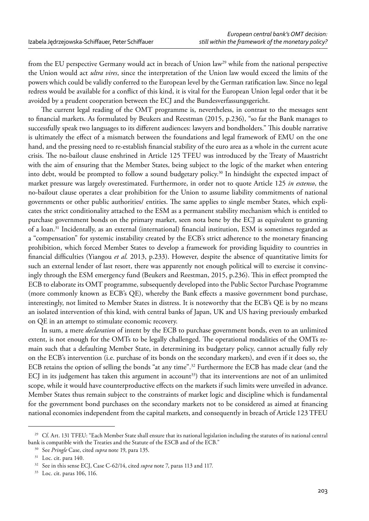from the EU perspective Germany would act in breach of Union law<sup>29</sup> while from the national perspective the Union would act *ultra vires*, since the interpretation of the Union law would exceed the limits of the powers which could be validly conferred to the European level by the German ratification law. Since no legal redress would be available for a conflict of this kind, it is vital for the European Union legal order that it be avoided by a prudent cooperation between the ECJ and the Bundesverfassungsgericht.

The current legal reading of the OMT programme is, nevertheless, in contrast to the messages sent to financial markets. As formulated by Beukers and Reestman (2015, p.236), "so far the Bank manages to successfully speak two languages to its different audiences: lawyers and bondholders." This double narrative is ultimately the effect of a mismatch between the foundations and legal framework of EMU on the one hand, and the pressing need to re-establish financial stability of the euro area as a whole in the current acute crisis. The no-bailout clause enshrined in Article 125 TFEU was introduced by the Treaty of Maastricht with the aim of ensuring that the Member States, being subject to the logic of the market when entering into debt, would be prompted to follow a sound budgetary policy.30 In hindsight the expected impact of market pressure was largely overestimated. Furthermore, in order not to quote Article 125 *in extenso*, the no-bailout clause operates a clear prohibition for the Union to assume liability commitments of national governments or other public authorities/ entities. The same applies to single member States, which explicates the strict conditionality attached to the ESM as a permanent stability mechanism which is entitled to purchase government bonds on the primary market, seen nota bene by the ECJ as equivalent to granting of a loan.31 Incidentally, as an external (international) financial institution, ESM is sometimes regarded as a "compensation" for systemic instability created by the ECB's strict adherence to the monetary financing prohibition, which forced Member States to develop a framework for providing liquidity to countries in financial difficulties (Yiangou *et al.* 2013, p.233). However, despite the absence of quantitative limits for such an external lender of last resort, there was apparently not enough political will to exercise it convincingly through the ESM emergency fund (Beukers and Reestman, 2015, p.236). This in effect prompted the ECB to elaborate its OMT programme, subsequently developed into the Public Sector Purchase Programme (more commonly known as ECB's QE), whereby the Bank effects a massive government bond purchase, interestingly, not limited to Member States in distress. It is noteworthy that the ECB's QE is by no means an isolated intervention of this kind, with central banks of Japan, UK and US having previously embarked on QE in an attempt to stimulate economic recovery.

In sum, a mere *declaration* of intent by the ECB to purchase government bonds, even to an unlimited extent, is not enough for the OMTs to be legally challenged. The operational modalities of the OMTs remain such that a defaulting Member State, in determining its budgetary policy, cannot actually fully rely on the ECB's intervention (i.e. purchase of its bonds on the secondary markets), and even if it does so, the ECB retains the option of selling the bonds "at any time".32 Furthermore the ECB has made clear (and the ECJ in its judgement has taken this argument in account<sup>33</sup>) that its interventions are not of an unlimited scope, while it would have counterproductive effects on the markets if such limits were unveiled in advance. Member States thus remain subject to the constraints of market logic and discipline which is fundamental for the government bond purchases on the secondary markets not to be considered as aimed at financing national economies independent from the capital markets, and consequently in breach of Article 123 TFEU

<sup>&</sup>lt;sup>29</sup> Cf. Art. 131 TFEU: "Each Member State shall ensure that its national legislation including the statutes of its national central bank is compatible with the Treaties and the Statute of the ESCB and of the ECB."

<sup>30</sup> See *Pringle* Case, cited *supra* note 19, para 135.

<sup>&</sup>lt;sup>31</sup> Loc. cit. para 140.

<sup>32</sup> See in this sense ECJ, Case C-62/14, cited *supra* note 7, paras 113 and 117.

<sup>33</sup> Loc. cit. paras 106, 116.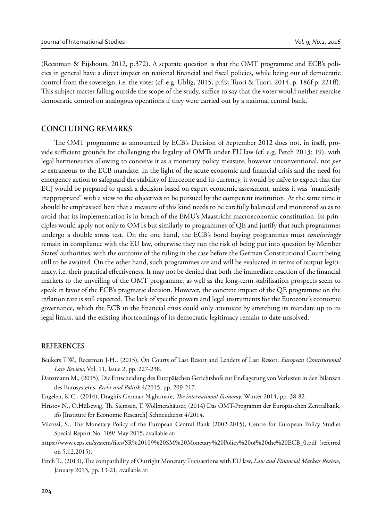(Reestman & Eijsbouts, 2012, p.372). A separate question is that the OMT programme and ECB's policies in general have a direct impact on national financial and fiscal policies, while being out of democratic control from the sovereign, i.e. the voter (cf. e.g. Uhlig, 2015, p.49; Tuori & Tuori, 2014, p. 186f p. 221ff). This subject matter falling outside the scope of the study, suffice to say that the voter would neither exercise democratic control on analogous operations if they were carried out by a national central bank.

# **CONCLUDING REMARKS**

The OMT programme as announced by ECB's Decision of September 2012 does not, in itself, provide sufficient grounds for challenging the legality of OMTs under EU law (cf. e.g. Petch 2013: 19), with legal hermeneutics allowing to conceive it as a monetary policy measure, however unconventional, not *per se* extraneous to the ECB mandate. In the light of the acute economic and financial crisis and the need for emergency action to safeguard the stability of Eurozone and its currency, it would be naïve to expect that the ECJ would be prepared to quash a decision based on expert economic assessment, unless it was "manifestly inappropriate" with a view to the objectives to be pursued by the competent institution. At the same time it should be emphasised here that a measure of this kind needs to be carefully balanced and monitored so as to avoid that its implementation is in breach of the EMU's Maastricht macroeconomic constitution. Its principles would apply not only to OMTs but similarly to programmes of QE and justify that such programmes undergo a double stress test. On the one hand, the ECB's bond buying programmes must *convincingly* remain in compliance with the EU law, otherwise they run the risk of being put into question by Member States' authorities, with the outcome of the ruling in the case before the German Constitutional Court being still to be awaited. On the other hand, such programmes are and will be evaluated in terms of output legitimacy, i.e. their practical effectiveness. It may not be denied that both the immediate reaction of the financial markets to the unveiling of the OMT programme, as well as the long-term stabilisation prospects seem to speak in favor of the ECB's pragmatic decision. However, the concrete impact of the QE programme on the inflation rate is still expected. The lack of specific powers and legal instruments for the Eurozone's economic governance, which the ECB in the financial crisis could only attenuate by stretching its mandate up to its legal limits, and the existing shortcomings of its democratic legitimacy remain to date unsolved.

#### **REFERENCES**

- Beukers T.W., Reestman J-H., (2015), On Courts of Last Resort and Lenders of Last Resort, *European Constitutional Law Review*, Vol. 11, Issue 2, pp. 227-238.
- Danzmann M., (2015), Die Entscheidung des Europäischen Gerichtshofs zur Endlagerung von Verlusten in den Bilanzen des Eurosystems, *Recht und Politik* 4/2015, pp. 209-217.

Engelen, K.C., (2014), Draghi's German Nightmare, *The international Economy*, Winter 2014, pp. 38-82.

- Hristov N., O.Hülsewig, Th . Siemsen, T. Wollmershäuser, (2014) Das OMT-Programm der Europäischen Zentralbank, ifo [Institute for Economic Research] Schneiidienst 4/2014.
- Micossi, S., The Monetary Policy of the European Central Bank (2002-2015), Centre for European Policy Studies Special Report No. 109/ May 2015, available at:
- https://www.ceps.eu/system/fi les/SR%20109%20SM%20Monetary%20Policy%20of%20the%20ECB\_0.pdf (referred on 5.12.2015).
- Petch T., (2013), The compatibility of Outright Monetary Transactions with EU law, *Law and Financial Markets Review*, January 2013, pp. 13-21, available at: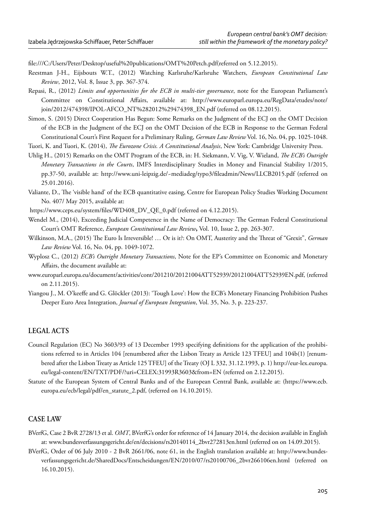file:///C:/Users/Peter/Desktop/useful%20publications/OMT%20Petch.pdf(referred on 5.12.2015).

- Reestman J-H., Eijsbouts W.T., (2012) Watching Karlsruhe/Karlsruhe Watchers, *European Constitutional Law Review*, 2012, Vol. 8, Issue 3, pp. 367-374.
- Repasi, R., (2012) *Limits and opportunities for the ECB in multi-tier governance*, note for the European Parliament's Committee on Constitutional Affairs, available at: http://www.europarl.europa.eu/RegData/etudes/note/ join/2012/474398/IPOL-AFCO\_NT%282012%29474398\_EN.pdf (referred on 08.12.2015).
- Simon, S. (2015) Direct Cooperation Has Begun: Some Remarks on the Judgment of the ECJ on the OMT Decision of the ECB in the Judgment of the ECJ on the OMT Decision of the ECB in Response to the German Federal Constitutional Court's First Request for a Preliminary Ruling, *German Law Review* Vol. 16, No. 04, pp. 1025-1048.

Tuori, K. and Tuori, K. (2014), *The Eurozone Crisis. A Constitutional Analysis*, New York: Cambridge University Press.

- Uhlig H., (2015) Remarks on the OMT Program of the ECB, in: H. Siekmann, V. Vig, V. Wieland, *The ECB's Outright Monetary Transactions in the Courts*, IMFS Interdisciplinary Studies in Money and Financial Stability 1/2015, pp.37-50, available at: http://www.uni-leipzig.de/~mediadeg/typo3/fi leadmin/News/LLCB2015.pdf (referred on 25.01.2016).
- Valiante, D., The 'visible hand' of the ECB quantitative easing, Centre for European Policy Studies Working Document No. 407/ May 2015, available at:

https://www.ceps.eu/system/files/WD408\_DV\_QE\_0.pdf (referred on 4.12.2015).

- Wendel M., (2014), Exceeding Judicial Competence in the Name of Democracy: The German Federal Constitutional Court's OMT Reference, *European Constitutional Law Review***,** Vol. 10, Issue 2, pp. 263-307.
- Wilkinson, M.A., (2015) The Euro Is Irreversible! ... Or is it?: On OMT, Austerity and the Threat of "Grexit", *German Law Review* Vol. 16, No. 04, pp. 1049-1072.
- Wyplosz C., (2012) *ECB's Outright Monetary Transactions*, Note for the EP's Committee on Economic and Monetary Affairs, the document available at:
- www.europarl.europa.eu/document/activities/cont/201210/20121004ATT52939/20121004ATT52939EN.pdf, (referred on 2.11.2015).
- Yiangou J., M. O'keeffe and G. Glöckler (2013): 'Tough Love': How the ECB's Monetary Financing Prohibition Pushes Deeper Euro Area Integration, *Journal of European Integration*, Vol. 35, No. 3, p. 223-237.

#### **LEGAL ACTS**

- Council Regulation (EC) No 3603/93 of 13 December 1993 specifying definitions for the application of the prohibitions referred to in Articles 104 [renumbered after the Lisbon Treaty as Article 123 TFEU] and 104b(1) [renumbered after the Lisbon Treaty as Article 125 TFEU] of the Treaty (OJ L 332, 31.12.1993, p. 1) http://eur-lex.europa. eu/legal-content/EN/TXT/PDF/?uri=CELEX:31993R3603&from=EN (referred on 2.12.2015).
- Statute of the European System of Central Banks and of the European Central Bank, available at: (https://www.ecb. europa.eu/ecb/legal/pdf/en\_statute\_2.pdf, (referred on 14.10.2015).

# **CASE LAW**

- BVerfG, Case 2 BvR 2728/13 et al. *OMT*, BVerfG's order for reference of 14 January 2014, the decision available in English at: www.bundesverfassungsgericht.de/en/decisions/rs20140114\_2bvr272813en.html (referred on on 14.09.2015).
- BVerfG, Order of 06 July 2010 2 BvR 2661/06, note 61, in the English translation available at: http://www.bundesverfassungsgericht.de/SharedDocs/Entscheidungen/EN/2010/07/rs20100706\_2bvr266106en.html (referred on 16.10.2015).